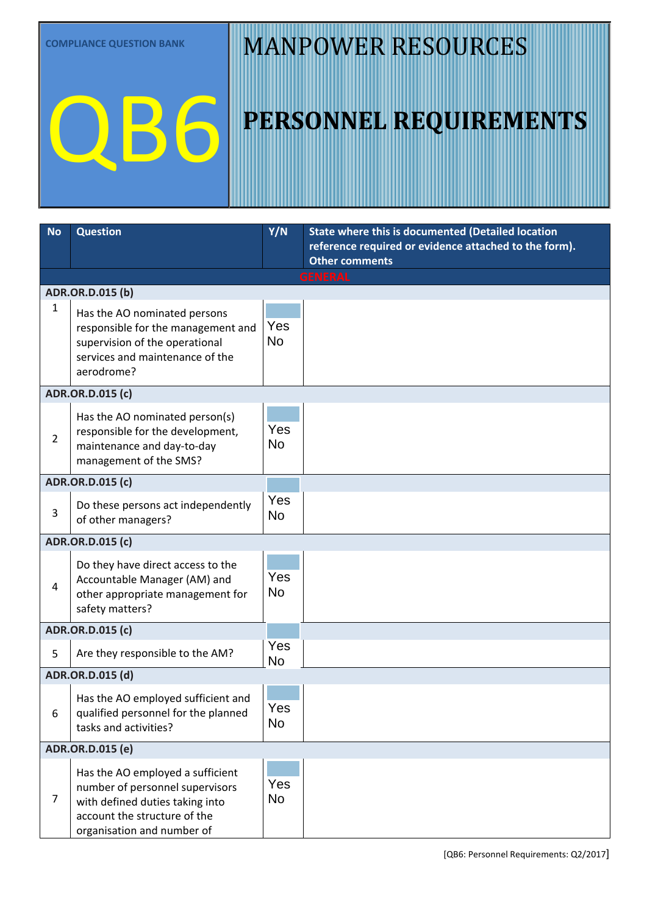QB6

## MANPOWER RESOURCES

| <b>No</b>      | <b>Question</b>                                                                                                                                                      | Y/N              | <b>State where this is documented (Detailed location</b><br>reference required or evidence attached to the form). |
|----------------|----------------------------------------------------------------------------------------------------------------------------------------------------------------------|------------------|-------------------------------------------------------------------------------------------------------------------|
|                |                                                                                                                                                                      |                  | <b>Other comments</b><br><b>GENERAL</b>                                                                           |
|                | ADR.OR.D.015 (b)                                                                                                                                                     |                  |                                                                                                                   |
| $\mathbf{1}$   | Has the AO nominated persons<br>responsible for the management and<br>supervision of the operational<br>services and maintenance of the<br>aerodrome?                | Yes<br><b>No</b> |                                                                                                                   |
|                | <b>ADR.OR.D.015 (c)</b>                                                                                                                                              |                  |                                                                                                                   |
| $\overline{2}$ | Has the AO nominated person(s)<br>responsible for the development,<br>maintenance and day-to-day<br>management of the SMS?                                           | Yes<br><b>No</b> |                                                                                                                   |
|                | <b>ADR.OR.D.015 (c)</b>                                                                                                                                              |                  |                                                                                                                   |
| 3              | Do these persons act independently<br>of other managers?                                                                                                             | Yes<br>No        |                                                                                                                   |
|                | ADR.OR.D.015 (c)                                                                                                                                                     |                  |                                                                                                                   |
| $\overline{4}$ | Do they have direct access to the<br>Accountable Manager (AM) and<br>other appropriate management for<br>safety matters?                                             | Yes<br><b>No</b> |                                                                                                                   |
|                | ADR.OR.D.015 (c)                                                                                                                                                     |                  |                                                                                                                   |
| 5              | Are they responsible to the AM?                                                                                                                                      | Yes<br><b>No</b> |                                                                                                                   |
|                | ADR.OR.D.015 (d)                                                                                                                                                     |                  |                                                                                                                   |
| 6              | Has the AO employed sufficient and<br>qualified personnel for the planned<br>tasks and activities?                                                                   | Yes<br><b>No</b> |                                                                                                                   |
|                | ADR.OR.D.015 (e)                                                                                                                                                     |                  |                                                                                                                   |
| $\overline{7}$ | Has the AO employed a sufficient<br>number of personnel supervisors<br>with defined duties taking into<br>account the structure of the<br>organisation and number of | Yes<br><b>No</b> |                                                                                                                   |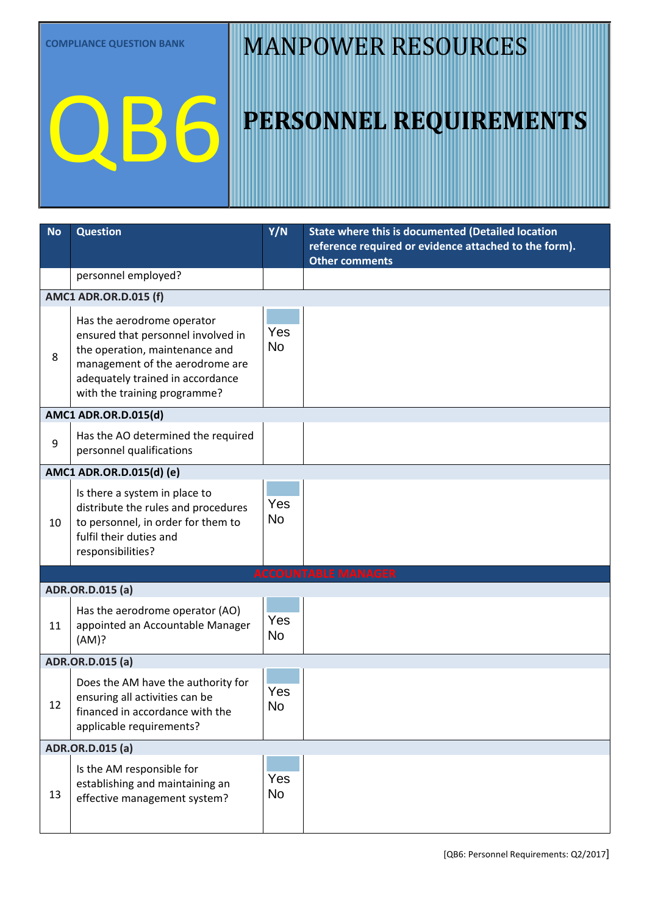QB6

## MANPOWER RESOURCES

| <b>No</b> | <b>Question</b>                                                                                                                                                                                           | Y/N              | State where this is documented (Detailed location                              |
|-----------|-----------------------------------------------------------------------------------------------------------------------------------------------------------------------------------------------------------|------------------|--------------------------------------------------------------------------------|
|           |                                                                                                                                                                                                           |                  | reference required or evidence attached to the form).<br><b>Other comments</b> |
|           | personnel employed?                                                                                                                                                                                       |                  |                                                                                |
|           | <b>AMC1 ADR.OR.D.015 (f)</b>                                                                                                                                                                              |                  |                                                                                |
| 8         | Has the aerodrome operator<br>ensured that personnel involved in<br>the operation, maintenance and<br>management of the aerodrome are<br>adequately trained in accordance<br>with the training programme? | Yes<br><b>No</b> |                                                                                |
|           | <b>AMC1 ADR.OR.D.015(d)</b>                                                                                                                                                                               |                  |                                                                                |
| 9         | Has the AO determined the required<br>personnel qualifications                                                                                                                                            | Yes<br><b>No</b> |                                                                                |
|           | AMC1 ADR.OR.D.015(d) (e)                                                                                                                                                                                  |                  |                                                                                |
| 10        | Is there a system in place to<br>distribute the rules and procedures<br>to personnel, in order for them to<br>fulfil their duties and<br>responsibilities?                                                | Yes<br><b>No</b> |                                                                                |
|           |                                                                                                                                                                                                           |                  | <b>ACCOUNTABLE MANAGER</b>                                                     |
|           | ADR.OR.D.015 (a)                                                                                                                                                                                          |                  |                                                                                |
| 11        | Has the aerodrome operator (AO)<br>appointed an Accountable Manager<br>(AM)?                                                                                                                              | Yes<br><b>No</b> |                                                                                |
|           | ADR.OR.D.015 (a)                                                                                                                                                                                          |                  |                                                                                |
| 12        | Does the AM have the authority for<br>ensuring all activities can be<br>financed in accordance with the<br>applicable requirements?                                                                       | Yes<br>No        |                                                                                |
|           | ADR.OR.D.015 (a)                                                                                                                                                                                          |                  |                                                                                |
| 13        | Is the AM responsible for<br>establishing and maintaining an<br>effective management system?                                                                                                              | Yes<br><b>No</b> |                                                                                |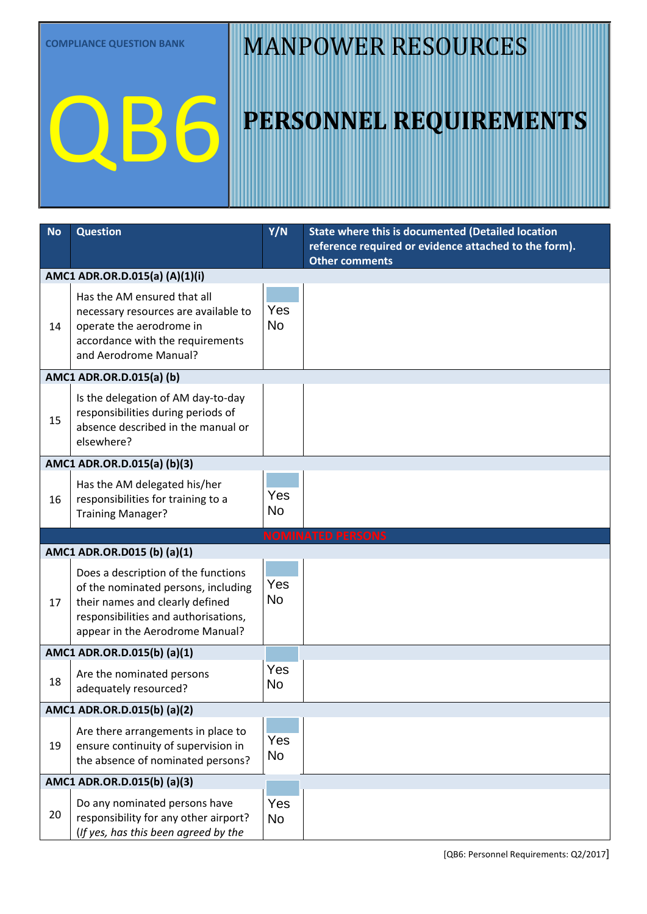QB6

# MANPOWER RESOURCES

| <b>No</b> | <b>Question</b>                                                                                                                                                                          | Y/N              | State where this is documented (Detailed location                              |  |
|-----------|------------------------------------------------------------------------------------------------------------------------------------------------------------------------------------------|------------------|--------------------------------------------------------------------------------|--|
|           |                                                                                                                                                                                          |                  | reference required or evidence attached to the form).<br><b>Other comments</b> |  |
|           | AMC1 ADR.OR.D.015(a) (A)(1)(i)                                                                                                                                                           |                  |                                                                                |  |
| 14        | Has the AM ensured that all<br>necessary resources are available to<br>operate the aerodrome in<br>accordance with the requirements<br>and Aerodrome Manual?                             | Yes<br><b>No</b> |                                                                                |  |
|           | AMC1 ADR.OR.D.015(a) (b)                                                                                                                                                                 |                  |                                                                                |  |
| 15        | Is the delegation of AM day-to-day<br>responsibilities during periods of<br>absence described in the manual or<br>elsewhere?                                                             | Yes<br><b>No</b> |                                                                                |  |
|           | AMC1 ADR.OR.D.015(a) (b)(3)                                                                                                                                                              |                  |                                                                                |  |
| 16        | Has the AM delegated his/her<br>responsibilities for training to a<br><b>Training Manager?</b>                                                                                           | Yes<br>No        |                                                                                |  |
|           | <b>NOMINATED PERSONS</b>                                                                                                                                                                 |                  |                                                                                |  |
|           | AMC1 ADR.OR.D015 (b) (a)(1)                                                                                                                                                              |                  |                                                                                |  |
| 17        | Does a description of the functions<br>of the nominated persons, including<br>their names and clearly defined<br>responsibilities and authorisations,<br>appear in the Aerodrome Manual? | Yes<br><b>No</b> |                                                                                |  |
|           | AMC1 ADR.OR.D.015(b) (a)(1)                                                                                                                                                              |                  |                                                                                |  |
| 18        | Are the nominated persons<br>adequately resourced?                                                                                                                                       | Yes<br><b>No</b> |                                                                                |  |
|           | AMC1 ADR.OR.D.015(b) (a)(2)                                                                                                                                                              |                  |                                                                                |  |
| 19        | Are there arrangements in place to<br>ensure continuity of supervision in<br>the absence of nominated persons?                                                                           | Yes<br><b>No</b> |                                                                                |  |
|           | AMC1 ADR.OR.D.015(b) (a)(3)                                                                                                                                                              |                  |                                                                                |  |
| 20        | Do any nominated persons have<br>responsibility for any other airport?<br>(If yes, has this been agreed by the                                                                           | Yes<br><b>No</b> |                                                                                |  |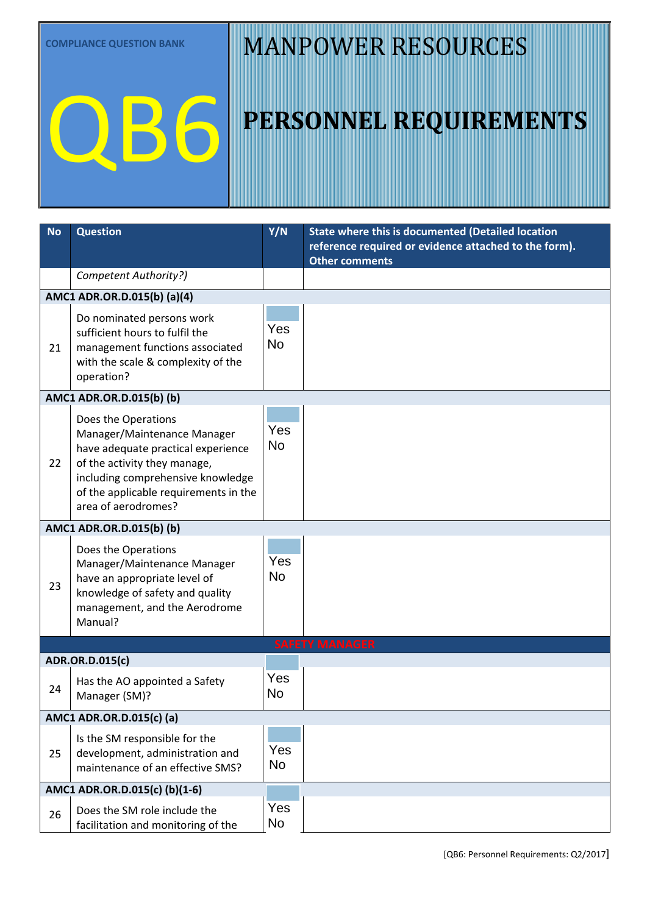QB6

## MANPOWER RESOURCES

| <b>No</b>                | <b>Question</b>                                                                                                                                                                                                               | Y/N              | State where this is documented (Detailed location                              |  |
|--------------------------|-------------------------------------------------------------------------------------------------------------------------------------------------------------------------------------------------------------------------------|------------------|--------------------------------------------------------------------------------|--|
|                          |                                                                                                                                                                                                                               |                  | reference required or evidence attached to the form).<br><b>Other comments</b> |  |
|                          | Competent Authority?)                                                                                                                                                                                                         |                  |                                                                                |  |
|                          | AMC1 ADR.OR.D.015(b) (a)(4)                                                                                                                                                                                                   |                  |                                                                                |  |
|                          |                                                                                                                                                                                                                               |                  |                                                                                |  |
| 21                       | Do nominated persons work<br>sufficient hours to fulfil the<br>management functions associated<br>with the scale & complexity of the<br>operation?                                                                            | Yes<br><b>No</b> |                                                                                |  |
|                          | AMC1 ADR.OR.D.015(b) (b)                                                                                                                                                                                                      |                  |                                                                                |  |
| 22                       | Does the Operations<br>Manager/Maintenance Manager<br>have adequate practical experience<br>of the activity they manage,<br>including comprehensive knowledge<br>of the applicable requirements in the<br>area of aerodromes? | Yes<br><b>No</b> |                                                                                |  |
|                          | AMC1 ADR.OR.D.015(b) (b)                                                                                                                                                                                                      |                  |                                                                                |  |
| 23                       | Does the Operations<br>Manager/Maintenance Manager<br>have an appropriate level of<br>knowledge of safety and quality<br>management, and the Aerodrome<br>Manual?                                                             | Yes<br><b>No</b> |                                                                                |  |
|                          |                                                                                                                                                                                                                               |                  | <b>SAFETY MANAGER</b>                                                          |  |
|                          | ADR.OR.D.015(c)                                                                                                                                                                                                               |                  |                                                                                |  |
| 24                       | Has the AO appointed a Safety<br>Manager (SM)?                                                                                                                                                                                | Yes<br><b>No</b> |                                                                                |  |
| AMC1 ADR.OR.D.015(c) (a) |                                                                                                                                                                                                                               |                  |                                                                                |  |
| 25                       | Is the SM responsible for the<br>development, administration and<br>maintenance of an effective SMS?                                                                                                                          | Yes<br><b>No</b> |                                                                                |  |
|                          | AMC1 ADR.OR.D.015(c) (b)(1-6)                                                                                                                                                                                                 |                  |                                                                                |  |
| 26                       | Does the SM role include the<br>facilitation and monitoring of the                                                                                                                                                            | Yes<br>No        |                                                                                |  |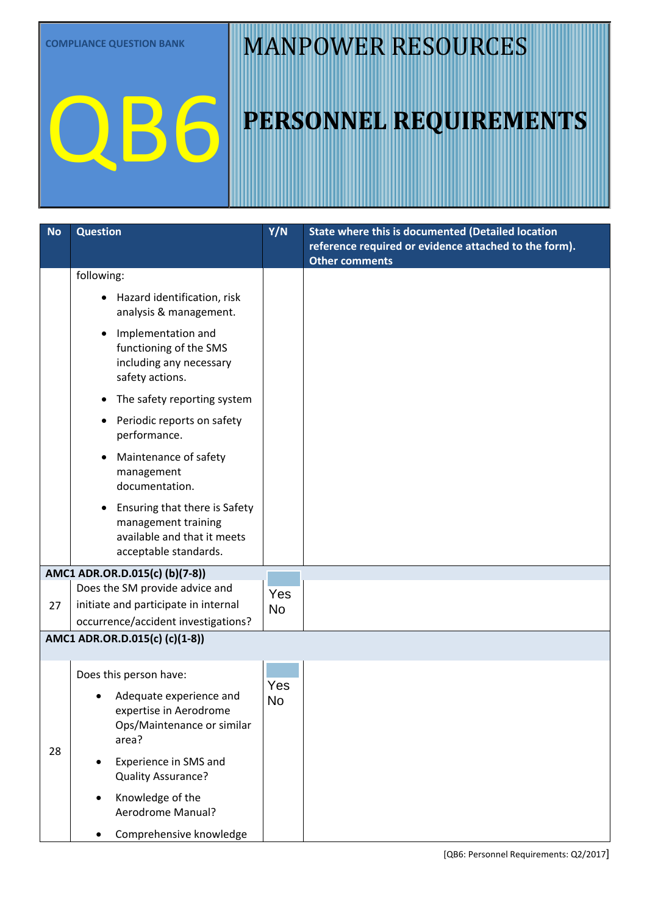QB6

# MANPOWER RESOURCES

| <b>No</b> | <b>Question</b>                                                                                                                                                                                                                                                      | Y/N              | <b>State where this is documented (Detailed location</b><br>reference required or evidence attached to the form).<br><b>Other comments</b> |
|-----------|----------------------------------------------------------------------------------------------------------------------------------------------------------------------------------------------------------------------------------------------------------------------|------------------|--------------------------------------------------------------------------------------------------------------------------------------------|
|           | following:                                                                                                                                                                                                                                                           |                  |                                                                                                                                            |
|           | Hazard identification, risk<br>analysis & management.                                                                                                                                                                                                                |                  |                                                                                                                                            |
|           | Implementation and<br>functioning of the SMS<br>including any necessary<br>safety actions.                                                                                                                                                                           |                  |                                                                                                                                            |
|           | The safety reporting system                                                                                                                                                                                                                                          |                  |                                                                                                                                            |
|           | Periodic reports on safety<br>performance.                                                                                                                                                                                                                           |                  |                                                                                                                                            |
|           | Maintenance of safety<br>management<br>documentation.                                                                                                                                                                                                                |                  |                                                                                                                                            |
|           | Ensuring that there is Safety<br>management training<br>available and that it meets<br>acceptable standards.                                                                                                                                                         |                  |                                                                                                                                            |
|           | AMC1 ADR.OR.D.015(c) (b)(7-8))                                                                                                                                                                                                                                       |                  |                                                                                                                                            |
| 27        | Does the SM provide advice and<br>initiate and participate in internal<br>occurrence/accident investigations?                                                                                                                                                        | Yes<br><b>No</b> |                                                                                                                                            |
|           | AMC1 ADR.OR.D.015(c) (c)(1-8))                                                                                                                                                                                                                                       |                  |                                                                                                                                            |
| 28        | Does this person have:<br>Adequate experience and<br>expertise in Aerodrome<br>Ops/Maintenance or similar<br>area?<br>Experience in SMS and<br>٠<br>Quality Assurance?<br>Knowledge of the<br>$\bullet$<br>Aerodrome Manual?<br>Comprehensive knowledge<br>$\bullet$ | Yes<br>No        |                                                                                                                                            |